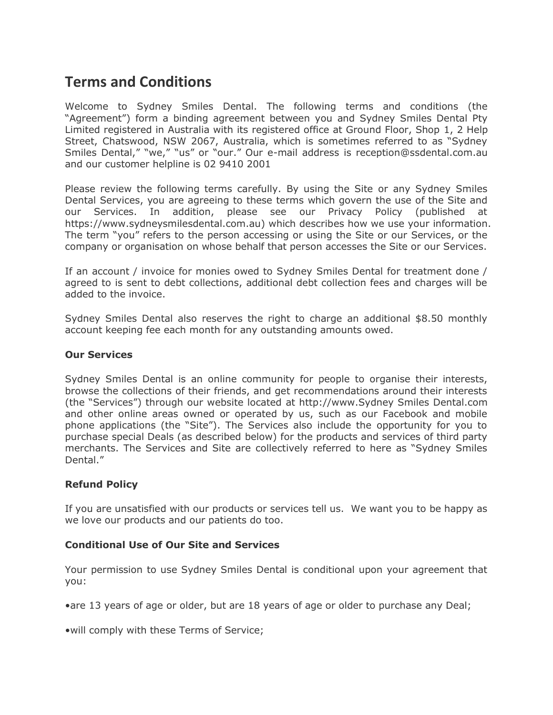# **Terms and Conditions**

Welcome to Sydney Smiles Dental. The following terms and conditions (the "Agreement") form a binding agreement between you and Sydney Smiles Dental Pty Limited registered in Australia with its registered office at Ground Floor, Shop 1, 2 Help Street, Chatswood, NSW 2067, Australia, which is sometimes referred to as "Sydney Smiles Dental," "we," "us" or "our." Our e-mail address is reception@ssdental.com.au and our customer helpline is 02 9410 2001

Please review the following terms carefully. By using the Site or any Sydney Smiles Dental Services, you are agreeing to these terms which govern the use of the Site and our Services. In addition, please see our Privacy Policy (published https://www.sydneysmilesdental.com.au) which describes how we use your information. The term "you" refers to the person accessing or using the Site or our Services, or the company or organisation on whose behalf that person accesses the Site or our Services.

If an account / invoice for monies owed to Sydney Smiles Dental for treatment done / agreed to is sent to debt collections, additional debt collection fees and charges will be added to the invoice.

Sydney Smiles Dental also reserves the right to charge an additional \$8.50 monthly account keeping fee each month for any outstanding amounts owed.

## **Our Services**

Sydney Smiles Dental is an online community for people to organise their interests, browse the collections of their friends, and get recommendations around their interests (the "Services") through our website located at http://www.Sydney Smiles Dental.com and other online areas owned or operated by us, such as our Facebook and mobile phone applications (the "Site"). The Services also include the opportunity for you to purchase special Deals (as described below) for the products and services of third party merchants. The Services and Site are collectively referred to here as "Sydney Smiles Dental."

## **Refund Policy**

If you are unsatisfied with our products or services tell us. We want you to be happy as we love our products and our patients do too.

## **Conditional Use of Our Site and Services**

Your permission to use Sydney Smiles Dental is conditional upon your agreement that you:

•are 13 years of age or older, but are 18 years of age or older to purchase any Deal;

•will comply with these Terms of Service;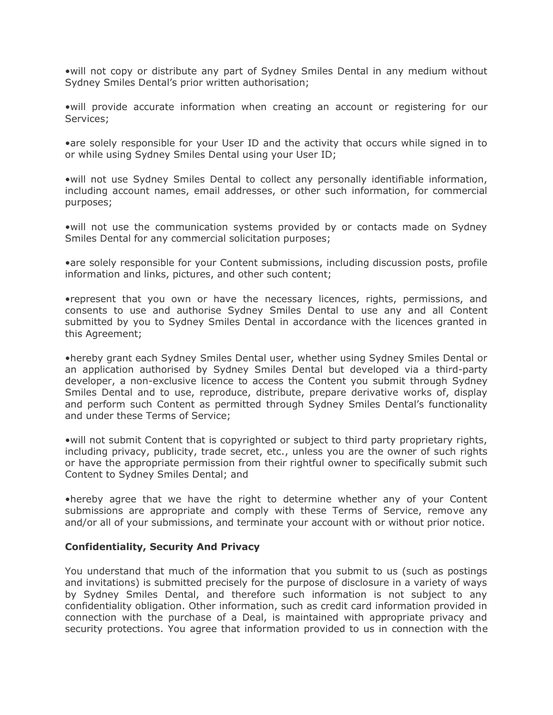•will not copy or distribute any part of Sydney Smiles Dental in any medium without Sydney Smiles Dental's prior written authorisation;

•will provide accurate information when creating an account or registering for our Services;

•are solely responsible for your User ID and the activity that occurs while signed in to or while using Sydney Smiles Dental using your User ID;

•will not use Sydney Smiles Dental to collect any personally identifiable information, including account names, email addresses, or other such information, for commercial purposes;

•will not use the communication systems provided by or contacts made on Sydney Smiles Dental for any commercial solicitation purposes;

•are solely responsible for your Content submissions, including discussion posts, profile information and links, pictures, and other such content;

•represent that you own or have the necessary licences, rights, permissions, and consents to use and authorise Sydney Smiles Dental to use any and all Content submitted by you to Sydney Smiles Dental in accordance with the licences granted in this Agreement;

•hereby grant each Sydney Smiles Dental user, whether using Sydney Smiles Dental or an application authorised by Sydney Smiles Dental but developed via a third-party developer, a non-exclusive licence to access the Content you submit through Sydney Smiles Dental and to use, reproduce, distribute, prepare derivative works of, display and perform such Content as permitted through Sydney Smiles Dental's functionality and under these Terms of Service;

•will not submit Content that is copyrighted or subject to third party proprietary rights, including privacy, publicity, trade secret, etc., unless you are the owner of such rights or have the appropriate permission from their rightful owner to specifically submit such Content to Sydney Smiles Dental; and

•hereby agree that we have the right to determine whether any of your Content submissions are appropriate and comply with these Terms of Service, remove any and/or all of your submissions, and terminate your account with or without prior notice.

## **Confidentiality, Security And Privacy**

You understand that much of the information that you submit to us (such as postings and invitations) is submitted precisely for the purpose of disclosure in a variety of ways by Sydney Smiles Dental, and therefore such information is not subject to any confidentiality obligation. Other information, such as credit card information provided in connection with the purchase of a Deal, is maintained with appropriate privacy and security protections. You agree that information provided to us in connection with the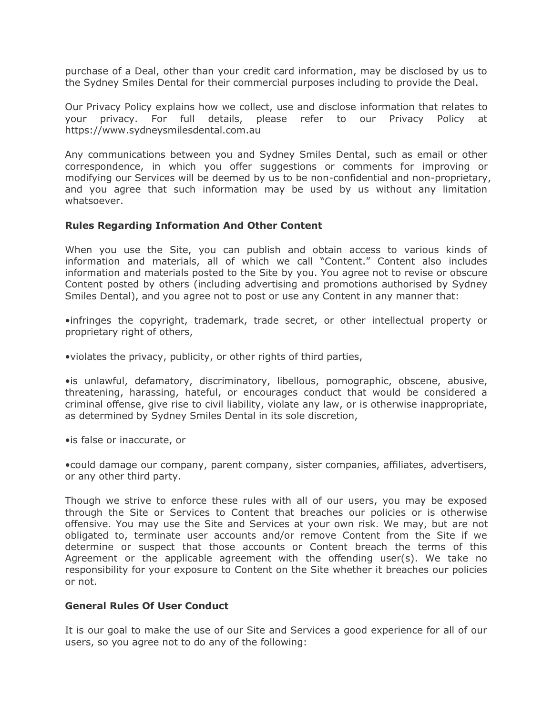purchase of a Deal, other than your credit card information, may be disclosed by us to the Sydney Smiles Dental for their commercial purposes including to provide the Deal.

Our Privacy Policy explains how we collect, use and disclose information that relates to your privacy. For full details, please refer to our Privacy Policy at https://www.sydneysmilesdental.com.au

Any communications between you and Sydney Smiles Dental, such as email or other correspondence, in which you offer suggestions or comments for improving or modifying our Services will be deemed by us to be non-confidential and non-proprietary, and you agree that such information may be used by us without any limitation whatsoever.

#### **Rules Regarding Information And Other Content**

When you use the Site, you can publish and obtain access to various kinds of information and materials, all of which we call "Content." Content also includes information and materials posted to the Site by you. You agree not to revise or obscure Content posted by others (including advertising and promotions authorised by Sydney Smiles Dental), and you agree not to post or use any Content in any manner that:

•infringes the copyright, trademark, trade secret, or other intellectual property or proprietary right of others,

•violates the privacy, publicity, or other rights of third parties,

•is unlawful, defamatory, discriminatory, libellous, pornographic, obscene, abusive, threatening, harassing, hateful, or encourages conduct that would be considered a criminal offense, give rise to civil liability, violate any law, or is otherwise inappropriate, as determined by Sydney Smiles Dental in its sole discretion,

•is false or inaccurate, or

•could damage our company, parent company, sister companies, affiliates, advertisers, or any other third party.

Though we strive to enforce these rules with all of our users, you may be exposed through the Site or Services to Content that breaches our policies or is otherwise offensive. You may use the Site and Services at your own risk. We may, but are not obligated to, terminate user accounts and/or remove Content from the Site if we determine or suspect that those accounts or Content breach the terms of this Agreement or the applicable agreement with the offending user(s). We take no responsibility for your exposure to Content on the Site whether it breaches our policies or not.

## **General Rules Of User Conduct**

It is our goal to make the use of our Site and Services a good experience for all of our users, so you agree not to do any of the following: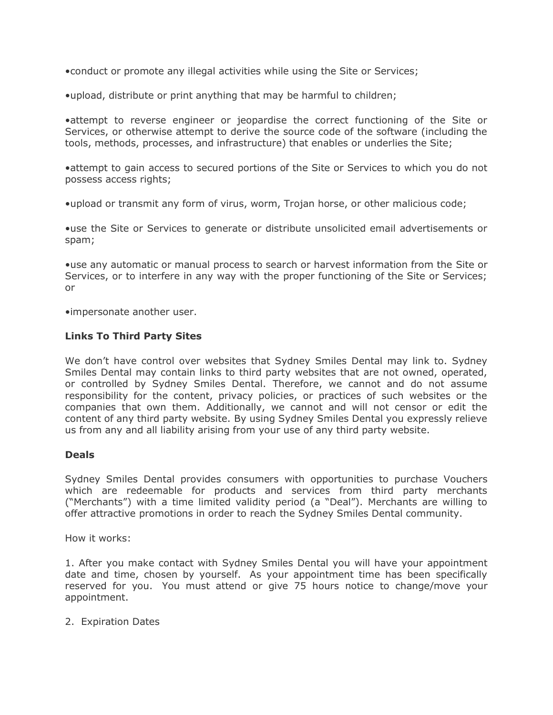•conduct or promote any illegal activities while using the Site or Services;

•upload, distribute or print anything that may be harmful to children;

•attempt to reverse engineer or jeopardise the correct functioning of the Site or Services, or otherwise attempt to derive the source code of the software (including the tools, methods, processes, and infrastructure) that enables or underlies the Site;

•attempt to gain access to secured portions of the Site or Services to which you do not possess access rights;

•upload or transmit any form of virus, worm, Trojan horse, or other malicious code;

•use the Site or Services to generate or distribute unsolicited email advertisements or spam;

•use any automatic or manual process to search or harvest information from the Site or Services, or to interfere in any way with the proper functioning of the Site or Services; or

•impersonate another user.

#### **Links To Third Party Sites**

We don't have control over websites that Sydney Smiles Dental may link to. Sydney Smiles Dental may contain links to third party websites that are not owned, operated, or controlled by Sydney Smiles Dental. Therefore, we cannot and do not assume responsibility for the content, privacy policies, or practices of such websites or the companies that own them. Additionally, we cannot and will not censor or edit the content of any third party website. By using Sydney Smiles Dental you expressly relieve us from any and all liability arising from your use of any third party website.

#### **Deals**

Sydney Smiles Dental provides consumers with opportunities to purchase Vouchers which are redeemable for products and services from third party merchants ("Merchants") with a time limited validity period (a "Deal"). Merchants are willing to offer attractive promotions in order to reach the Sydney Smiles Dental community.

How it works:

1. After you make contact with Sydney Smiles Dental you will have your appointment date and time, chosen by yourself. As your appointment time has been specifically reserved for you. You must attend or give 75 hours notice to change/move your appointment.

2. Expiration Dates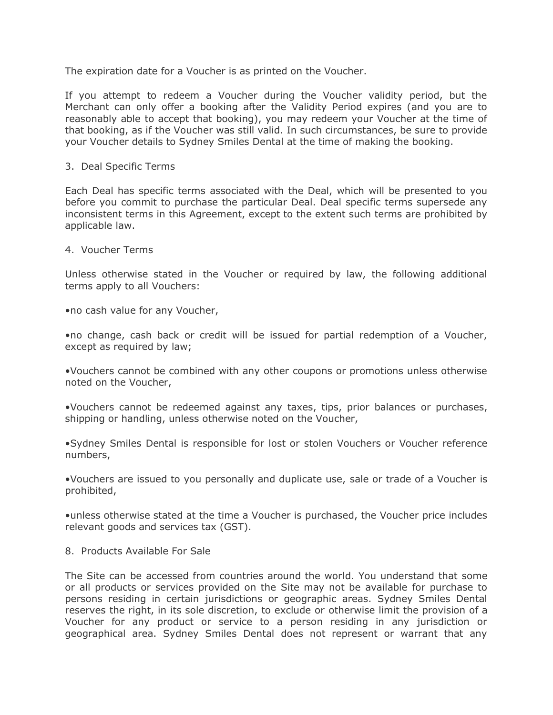The expiration date for a Voucher is as printed on the Voucher.

If you attempt to redeem a Voucher during the Voucher validity period, but the Merchant can only offer a booking after the Validity Period expires (and you are to reasonably able to accept that booking), you may redeem your Voucher at the time of that booking, as if the Voucher was still valid. In such circumstances, be sure to provide your Voucher details to Sydney Smiles Dental at the time of making the booking.

#### 3. Deal Specific Terms

Each Deal has specific terms associated with the Deal, which will be presented to you before you commit to purchase the particular Deal. Deal specific terms supersede any inconsistent terms in this Agreement, except to the extent such terms are prohibited by applicable law.

#### 4. Voucher Terms

Unless otherwise stated in the Voucher or required by law, the following additional terms apply to all Vouchers:

•no cash value for any Voucher,

•no change, cash back or credit will be issued for partial redemption of a Voucher, except as required by law;

•Vouchers cannot be combined with any other coupons or promotions unless otherwise noted on the Voucher,

•Vouchers cannot be redeemed against any taxes, tips, prior balances or purchases, shipping or handling, unless otherwise noted on the Voucher,

•Sydney Smiles Dental is responsible for lost or stolen Vouchers or Voucher reference numbers,

•Vouchers are issued to you personally and duplicate use, sale or trade of a Voucher is prohibited,

•unless otherwise stated at the time a Voucher is purchased, the Voucher price includes relevant goods and services tax (GST).

8. Products Available For Sale

The Site can be accessed from countries around the world. You understand that some or all products or services provided on the Site may not be available for purchase to persons residing in certain jurisdictions or geographic areas. Sydney Smiles Dental reserves the right, in its sole discretion, to exclude or otherwise limit the provision of a Voucher for any product or service to a person residing in any jurisdiction or geographical area. Sydney Smiles Dental does not represent or warrant that any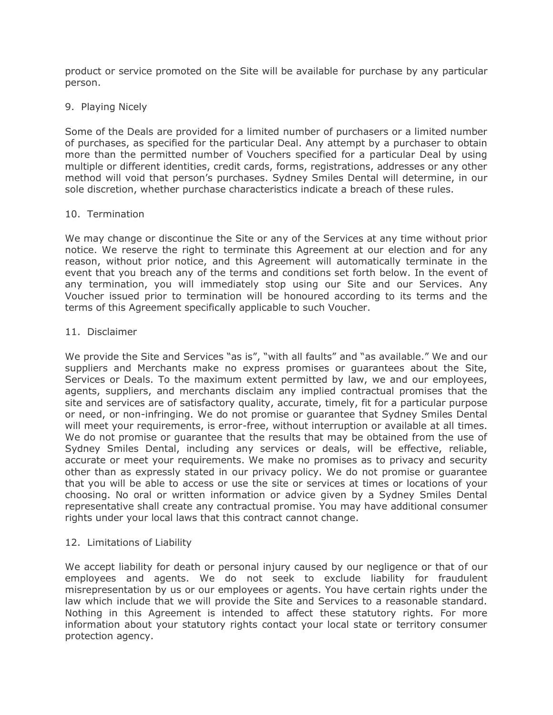product or service promoted on the Site will be available for purchase by any particular person.

## 9. Playing Nicely

Some of the Deals are provided for a limited number of purchasers or a limited number of purchases, as specified for the particular Deal. Any attempt by a purchaser to obtain more than the permitted number of Vouchers specified for a particular Deal by using multiple or different identities, credit cards, forms, registrations, addresses or any other method will void that person's purchases. Sydney Smiles Dental will determine, in our sole discretion, whether purchase characteristics indicate a breach of these rules.

## 10. Termination

We may change or discontinue the Site or any of the Services at any time without prior notice. We reserve the right to terminate this Agreement at our election and for any reason, without prior notice, and this Agreement will automatically terminate in the event that you breach any of the terms and conditions set forth below. In the event of any termination, you will immediately stop using our Site and our Services. Any Voucher issued prior to termination will be honoured according to its terms and the terms of this Agreement specifically applicable to such Voucher.

#### 11. Disclaimer

We provide the Site and Services "as is", "with all faults" and "as available." We and our suppliers and Merchants make no express promises or guarantees about the Site, Services or Deals. To the maximum extent permitted by law, we and our employees, agents, suppliers, and merchants disclaim any implied contractual promises that the site and services are of satisfactory quality, accurate, timely, fit for a particular purpose or need, or non-infringing. We do not promise or guarantee that Sydney Smiles Dental will meet your requirements, is error-free, without interruption or available at all times. We do not promise or guarantee that the results that may be obtained from the use of Sydney Smiles Dental, including any services or deals, will be effective, reliable, accurate or meet your requirements. We make no promises as to privacy and security other than as expressly stated in our privacy policy. We do not promise or guarantee that you will be able to access or use the site or services at times or locations of your choosing. No oral or written information or advice given by a Sydney Smiles Dental representative shall create any contractual promise. You may have additional consumer rights under your local laws that this contract cannot change.

## 12. Limitations of Liability

We accept liability for death or personal injury caused by our negligence or that of our employees and agents. We do not seek to exclude liability for fraudulent misrepresentation by us or our employees or agents. You have certain rights under the law which include that we will provide the Site and Services to a reasonable standard. Nothing in this Agreement is intended to affect these statutory rights. For more information about your statutory rights contact your local state or territory consumer protection agency.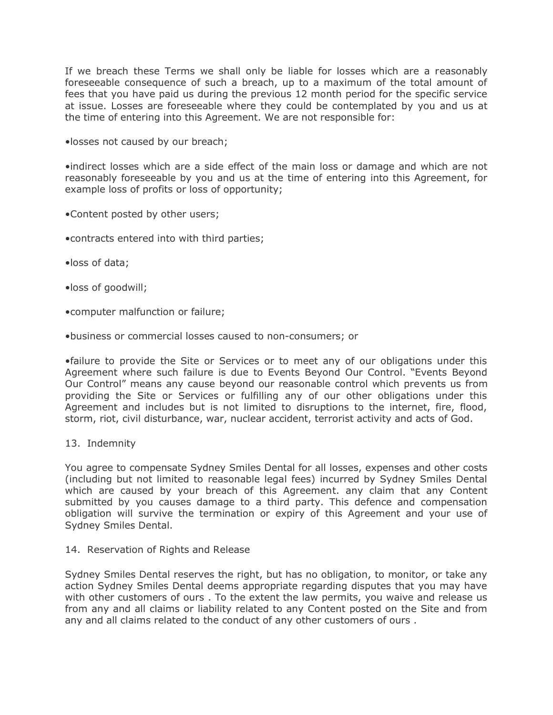If we breach these Terms we shall only be liable for losses which are a reasonably foreseeable consequence of such a breach, up to a maximum of the total amount of fees that you have paid us during the previous 12 month period for the specific service at issue. Losses are foreseeable where they could be contemplated by you and us at the time of entering into this Agreement. We are not responsible for:

•losses not caused by our breach;

•indirect losses which are a side effect of the main loss or damage and which are not reasonably foreseeable by you and us at the time of entering into this Agreement, for example loss of profits or loss of opportunity;

- •Content posted by other users;
- •contracts entered into with third parties;
- •loss of data;
- •loss of goodwill;
- •computer malfunction or failure;
- •business or commercial losses caused to non-consumers; or

•failure to provide the Site or Services or to meet any of our obligations under this Agreement where such failure is due to Events Beyond Our Control. "Events Beyond Our Control" means any cause beyond our reasonable control which prevents us from providing the Site or Services or fulfilling any of our other obligations under this Agreement and includes but is not limited to disruptions to the internet, fire, flood, storm, riot, civil disturbance, war, nuclear accident, terrorist activity and acts of God.

13. Indemnity

You agree to compensate Sydney Smiles Dental for all losses, expenses and other costs (including but not limited to reasonable legal fees) incurred by Sydney Smiles Dental which are caused by your breach of this Agreement. any claim that any Content submitted by you causes damage to a third party. This defence and compensation obligation will survive the termination or expiry of this Agreement and your use of Sydney Smiles Dental.

14. Reservation of Rights and Release

Sydney Smiles Dental reserves the right, but has no obligation, to monitor, or take any action Sydney Smiles Dental deems appropriate regarding disputes that you may have with other customers of ours . To the extent the law permits, you waive and release us from any and all claims or liability related to any Content posted on the Site and from any and all claims related to the conduct of any other customers of ours .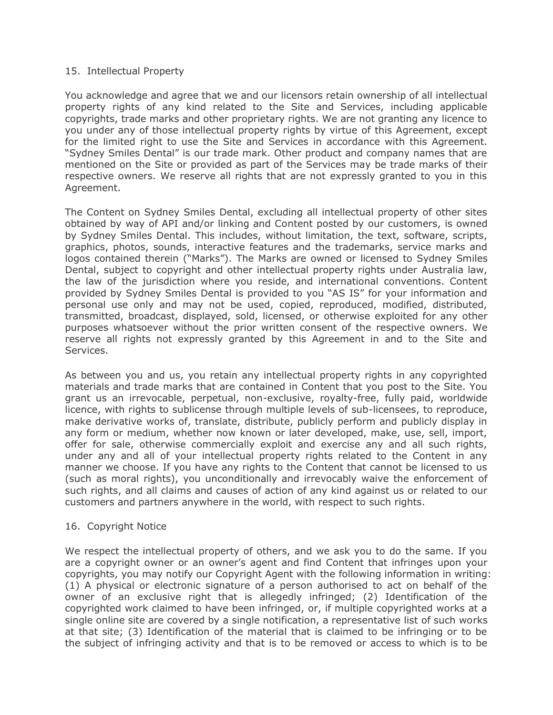#### 15. Intellectual Property

You acknowledge and agree that we and our licensors retain ownership of all intellectual property rights of any kind related to the Site and Services, including applicable copyrights, trade marks and other proprietary rights. We are not granting any licence to you under any of those intellectual property rights by virtue of this Agreement, except for the limited right to use the Site and Services in accordance with this Agreement. "Sydney Smiles Dental" is our trade mark. Other product and company names that are mentioned on the Site or provided as part of the Services may be trade marks of their respective owners. We reserve all rights that are not expressly granted to you in this Agreement.

The Content on Sydney Smiles Dental, excluding all intellectual property of other sites obtained by way of API and/or linking and Content posted by our customers, is owned by Sydney Smiles Dental. This includes, without limitation, the text, software, scripts, graphics, photos, sounds, interactive features and the trademarks, service marks and logos contained therein ("Marks"). The Marks are owned or licensed to Sydney Smiles Dental, subject to copyright and other intellectual property rights under Australia law, the law of the jurisdiction where you reside, and international conventions. Content provided by Sydney Smiles Dental is provided to you "AS IS" for your information and personal use only and may not be used, copied, reproduced, modified, distributed, transmitted, broadcast, displayed, sold, licensed, or otherwise exploited for any other purposes whatsoever without the prior written consent of the respective owners. We reserve all rights not expressly granted by this Agreement in and to the Site and Services.

As between you and us, you retain any intellectual property rights in any copyrighted materials and trade marks that are contained in Content that you post to the Site. You grant us an irrevocable, perpetual, non-exclusive, royalty-free, fully paid, worldwide licence, with rights to sublicense through multiple levels of sub-licensees, to reproduce, make derivative works of, translate, distribute, publicly perform and publicly display in any form or medium, whether now known or later developed, make, use, sell, import, offer for sale, otherwise commercially exploit and exercise any and all such rights, under any and all of your intellectual property rights related to the Content in any manner we choose. If you have any rights to the Content that cannot be licensed to us (such as moral rights), you unconditionally and irrevocably waive the enforcement of such rights, and all claims and causes of action of any kind against us or related to our customers and partners anywhere in the world, with respect to such rights.

## 16. Copyright Notice

We respect the intellectual property of others, and we ask you to do the same. If you are a copyright owner or an owner's agent and find Content that infringes upon your copyrights, you may notify our Copyright Agent with the following information in writing: (1) A physical or electronic signature of a person authorised to act on behalf of the owner of an exclusive right that is allegedly infringed; (2) Identification of the copyrighted work claimed to have been infringed, or, if multiple copyrighted works at a single online site are covered by a single notification, a representative list of such works at that site; (3) Identification of the material that is claimed to be infringing or to be the subject of infringing activity and that is to be removed or access to which is to be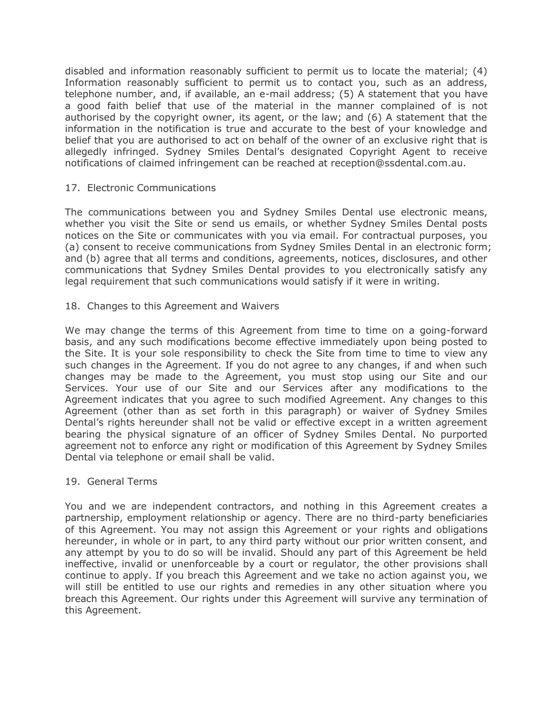disabled and information reasonably sufficient to permit us to locate the material; (4) Information reasonably sufficient to permit us to contact you, such as an address, telephone number, and, if available, an e-mail address; (5) A statement that you have a good faith belief that use of the material in the manner complained of is not authorised by the copyright owner, its agent, or the law; and (6) A statement that the information in the notification is true and accurate to the best of your knowledge and belief that you are authorised to act on behalf of the owner of an exclusive right that is allegedly infringed. Sydney Smiles Dental's designated Copyright Agent to receive notifications of claimed infringement can be reached at reception@ssdental.com.au.

## 17. Electronic Communications

The communications between you and Sydney Smiles Dental use electronic means, whether you visit the Site or send us emails, or whether Sydney Smiles Dental posts notices on the Site or communicates with you via email. For contractual purposes, you (a) consent to receive communications from Sydney Smiles Dental in an electronic form; and (b) agree that all terms and conditions, agreements, notices, disclosures, and other communications that Sydney Smiles Dental provides to you electronically satisfy any legal requirement that such communications would satisfy if it were in writing.

18. Changes to this Agreement and Waivers

We may change the terms of this Agreement from time to time on a going-forward basis, and any such modifications become effective immediately upon being posted to the Site. It is your sole responsibility to check the Site from time to time to view any such changes in the Agreement. If you do not agree to any changes, if and when such changes may be made to the Agreement, you must stop using our Site and our Services. Your use of our Site and our Services after any modifications to the Agreement indicates that you agree to such modified Agreement. Any changes to this Agreement (other than as set forth in this paragraph) or waiver of Sydney Smiles Dental's rights hereunder shall not be valid or effective except in a written agreement bearing the physical signature of an officer of Sydney Smiles Dental. No purported agreement not to enforce any right or modification of this Agreement by Sydney Smiles Dental via telephone or email shall be valid.

## 19. General Terms

You and we are independent contractors, and nothing in this Agreement creates a partnership, employment relationship or agency. There are no third-party beneficiaries of this Agreement. You may not assign this Agreement or your rights and obligations hereunder, in whole or in part, to any third party without our prior written consent, and any attempt by you to do so will be invalid. Should any part of this Agreement be held ineffective, invalid or unenforceable by a court or regulator, the other provisions shall continue to apply. If you breach this Agreement and we take no action against you, we will still be entitled to use our rights and remedies in any other situation where you breach this Agreement. Our rights under this Agreement will survive any termination of this Agreement.